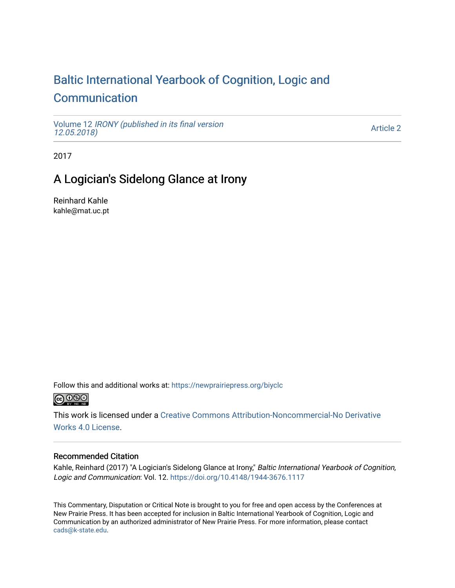# [Baltic International Yearbook of Cognition, Logic and](https://newprairiepress.org/biyclc)  **[Communication](https://newprairiepress.org/biyclc)**

Volume 12 [IRONY \(published in its final version](https://newprairiepress.org/biyclc/vol12)  [12.05.2018\)](https://newprairiepress.org/biyclc/vol12) 

[Article 2](https://newprairiepress.org/biyclc/vol12/iss1/2) 

2017

## A Logician's Sidelong Glance at Irony

Reinhard Kahle kahle@mat.uc.pt

Follow this and additional works at: [https://newprairiepress.org/biyclc](https://newprairiepress.org/biyclc?utm_source=newprairiepress.org%2Fbiyclc%2Fvol12%2Fiss1%2F2&utm_medium=PDF&utm_campaign=PDFCoverPages) 



This work is licensed under a [Creative Commons Attribution-Noncommercial-No Derivative](https://creativecommons.org/licenses/by-nc-nd/4.0/)  [Works 4.0 License](https://creativecommons.org/licenses/by-nc-nd/4.0/).

### Recommended Citation

Kahle, Reinhard (2017) "A Logician's Sidelong Glance at Irony," Baltic International Yearbook of Cognition, Logic and Communication: Vol. 12.<https://doi.org/10.4148/1944-3676.1117>

This Commentary, Disputation or Critical Note is brought to you for free and open access by the Conferences at New Prairie Press. It has been accepted for inclusion in Baltic International Yearbook of Cognition, Logic and Communication by an authorized administrator of New Prairie Press. For more information, please contact [cads@k-state.edu.](mailto:cads@k-state.edu)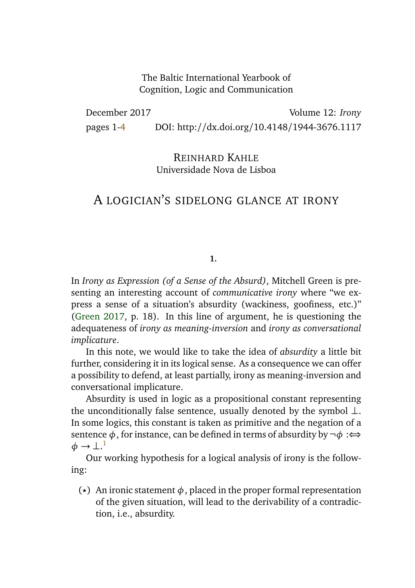The Baltic International Yearbook of Cognition, Logic and Communication

December 2017 Volume 12: *Irony* pages 1[-4](#page-4-0) DOI: http://dx.doi.org/10.4148/1944-3676.1117

> REINHARD KAHLE Universidade Nova de Lisboa

## A LOGICIAN'S SIDELONG GLANCE AT IRONY

#### **1.**

In *Irony as Expression (of a Sense of the Absurd)*, Mitchell Green is presenting an interesting account of *communicative irony* where "we express a sense of a situation's absurdity (wackiness, goofiness, etc.)" [\(Green](#page-4-1) [2017,](#page-4-1) p. 18). In this line of argument, he is questioning the adequateness of *irony as meaning-inversion* and *irony as conversational implicature*.

In this note, we would like to take the idea of *absurdity* a little bit further, considering it in its logical sense. As a consequence we can offer a possibility to defend, at least partially, irony as meaning-inversion and conversational implicature.

Absurdity is used in logic as a propositional constant representing the unconditionally false sentence, usually denoted by the symbol ⊥. In some logics, this constant is taken as primitive and the negation of a sentence φ, for instance, can be defined in terms of absurdity by  $\neg \phi$  :⇔  $\phi \rightarrow \perp.^1$  $\phi \rightarrow \perp.^1$ 

<span id="page-1-0"></span>Our working hypothesis for a logical analysis of irony is the following:

( $\star$ ) An ironic statement  $\phi$ , placed in the proper formal representation of the given situation, will lead to the derivability of a contradiction, i.e., absurdity.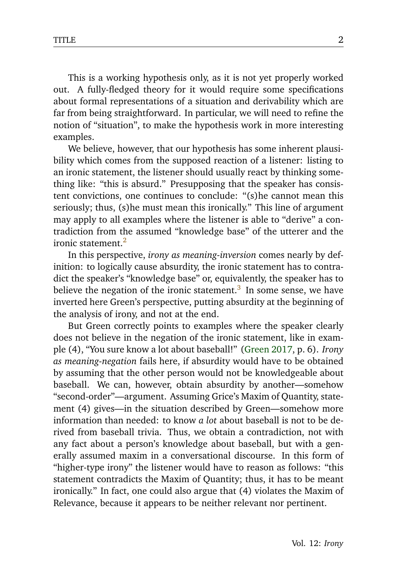This is a working hypothesis only, as it is not yet properly worked out. A fully-fledged theory for it would require some specifications about formal representations of a situation and derivability which are far from being straightforward. In particular, we will need to refine the notion of "situation", to make the hypothesis work in more interesting examples.

We believe, however, that our hypothesis has some inherent plausibility which comes from the supposed reaction of a listener: listing to an ironic statement, the listener should usually react by thinking something like: "this is absurd." Presupposing that the speaker has consistent convictions, one continues to conclude: "(s)he cannot mean this seriously; thus, (s)he must mean this ironically." This line of argument may apply to all examples where the listener is able to "derive" a contradiction from the assumed "knowledge base" of the utterer and the ironic statement.<sup>[2](#page-3-1)</sup>

<span id="page-2-0"></span>In this perspective, *irony as meaning-inversion* comes nearly by definition: to logically cause absurdity, the ironic statement has to contradict the speaker's "knowledge base" or, equivalently, the speaker has to believe the negation of the ironic statement.<sup>[3](#page-3-2)</sup> In some sense, we have inverted here Green's perspective, putting absurdity at the beginning of the analysis of irony, and not at the end.

<span id="page-2-1"></span>But Green correctly points to examples where the speaker clearly does not believe in the negation of the ironic statement, like in example (4), "You sure know a lot about baseball!" [\(Green](#page-4-1) [2017,](#page-4-1) p. 6). *Irony as meaning-negation* fails here, if absurdity would have to be obtained by assuming that the other person would not be knowledgeable about baseball. We can, however, obtain absurdity by another—somehow "second-order"—argument. Assuming Grice's Maxim of Quantity, statement (4) gives—in the situation described by Green—somehow more information than needed: to know *a lot* about baseball is not to be derived from baseball trivia. Thus, we obtain a contradiction, not with any fact about a person's knowledge about baseball, but with a generally assumed maxim in a conversational discourse. In this form of "higher-type irony" the listener would have to reason as follows: "this statement contradicts the Maxim of Quantity; thus, it has to be meant ironically." In fact, one could also argue that (4) violates the Maxim of Relevance, because it appears to be neither relevant nor pertinent.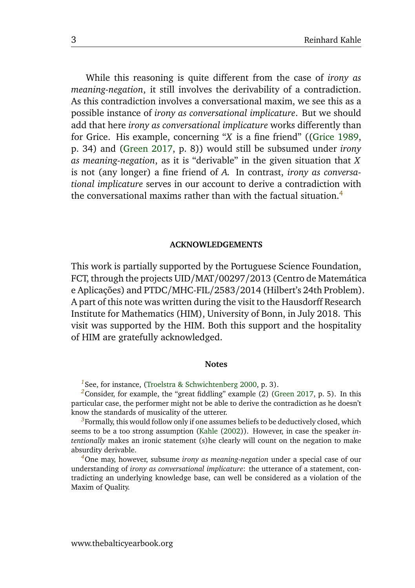While this reasoning is quite different from the case of *irony as meaning-negation*, it still involves the derivability of a contradiction. As this contradiction involves a conversational maxim, we see this as a possible instance of *irony as conversational implicature*. But we should add that here *irony as conversational implicature* works differently than for Grice. His example, concerning "*X* is a fine friend" ([\(Grice](#page-4-2) [1989,](#page-4-2) p. 34) and [\(Green](#page-4-1) [2017,](#page-4-1) p. 8)) would still be subsumed under *irony as meaning-negation*, as it is "derivable" in the given situation that *X* is not (any longer) a fine friend of *A*. In contrast, *irony as conversational implicature* serves in our account to derive a contradiction with the conversational maxims rather than with the factual situation  $4$ 

#### <span id="page-3-4"></span>**ACKNOWLEDGEMENTS**

This work is partially supported by the Portuguese Science Foundation, FCT, through the projects UID/MAT/00297/2013 (Centro de Matemática e Aplicações) and PTDC/MHC-FIL/2583/2014 (Hilbert's 24th Problem). A part of this note was written during the visit to the Hausdorff Research Institute for Mathematics (HIM), University of Bonn, in July 2018. This visit was supported by the HIM. Both this support and the hospitality of HIM are gratefully acknowledged.

#### **Notes**

<span id="page-3-0"></span><sup>[1](#page-1-0)</sup>See, for instance, [\(Troelstra & Schwichtenberg](#page-4-3) [2000,](#page-4-3) p. 3).

<span id="page-3-1"></span>*[2](#page-2-0)*Consider, for example, the "great fiddling" example (2) [\(Green](#page-4-1) [2017,](#page-4-1) p. 5). In this particular case, the performer might not be able to derive the contradiction as he doesn't know the standards of musicality of the utterer.

<span id="page-3-2"></span>*[3](#page-2-1)*Formally, this would follow only if one assumes beliefs to be deductively closed, which seems to be a too strong assumption [\(Kahle](#page-4-4) [\(2002\)](#page-4-4)). However, in case the speaker *intentionally* makes an ironic statement (s)he clearly will count on the negation to make absurdity derivable.

<span id="page-3-3"></span>*[4](#page-3-4)*One may, however, subsume *irony as meaning-negation* under a special case of our understanding of *irony as conversational implicature*: the utterance of a statement, contradicting an underlying knowledge base, can well be considered as a violation of the Maxim of Quality.